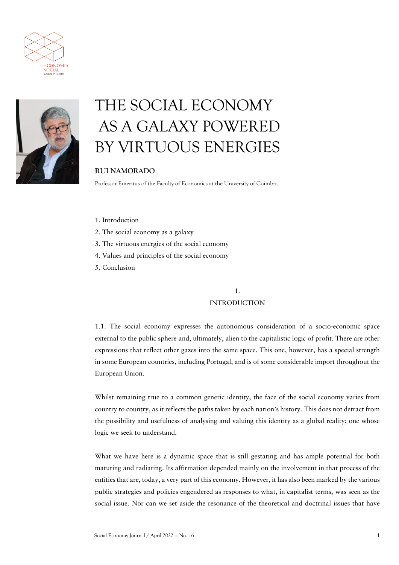



# THE SOCIAL ECONOMY AS A GALAXY POWERED BY VIRTUOUS ENERGIES

### **RUI NAMORADO**

Professor Emeritus of the Faculty of Economics at the University of Coimbra

- 1. Introduction
- 2. The social economy as a galaxy
- 3. The virtuous energies of the social economy
- 4. Values and principles of the social economy
- 5. Conclusion

### 1. INTRODUCTION

1.1. The social economy expresses the autonomous consideration of a socio-economic space external to the public sphere and, ultimately, alien to the capitalistic logic of profit. There are other expressions that reflect other gazes into the same space. This one, however, has a special strength in some European countries, including Portugal, and is of some considerable import throughout the European Union.

Whilst remaining true to a common generic identity, the face of the social economy varies from country to country, as it reflects the paths taken by each nation's history. This does not detract from the possibility and usefulness of analysing and valuing this identity as a global reality; one whose logic we seek to understand.

What we have here is a dynamic space that is still gestating and has ample potential for both maturing and radiating. Its affirmation depended mainly on the involvement in that process of the entities that are, today, a very part of this economy. However, it has also been marked by the various public strategies and policies engendered as responses to what, in capitalist terms, was seen as the social issue. Nor can we set aside the resonance of the theoretical and doctrinal issues that have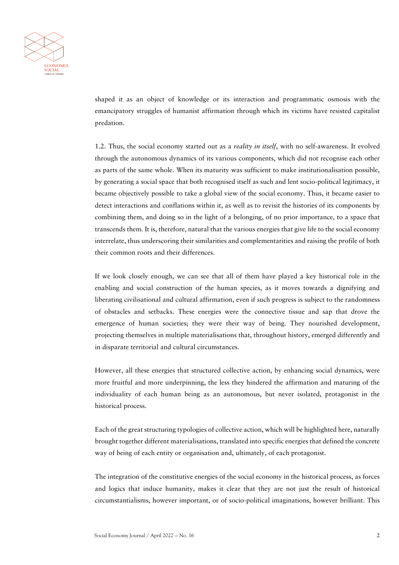

shaped it as an object of knowledge or its interaction and programmatic osmosis with the emancipatory struggles of humanist affirmation through which its victims have resisted capitalist predation.

1.2. Thus, the social economy started out as a *reality in itself*, with no self-awareness. It evolved through the autonomous dynamics of its various components, which did not recognise each other as parts of the same whole. When its maturity was sufficient to make institutionalisation possible, by generating a social space that both recognised itself as such and lent socio-political legitimacy, it became objectively possible to take a global view of the social economy. Thus, it became easier to detect interactions and conflations within it, as well as to revisit the histories of its components by combining them, and doing so in the light of a belonging, of no prior importance, to a space that transcends them. It is, therefore, natural that the various energies that give life to the social economy interrelate, thus underscoring their similarities and complementarities and raising the profile of both their common roots and their differences.

If we look closely enough, we can see that all of them have played a key historical role in the enabling and social construction of the human species, as it moves towards a dignifying and liberating civilisational and cultural affirmation, even if such progress is subject to the randomness of obstacles and setbacks. These energies were the connective tissue and sap that drove the emergence of human societies; they were their way of being. They nourished development, projecting themselves in multiple materialisations that, throughout history, emerged differently and in disparate territorial and cultural circumstances.

However, all these energies that structured collective action, by enhancing social dynamics, were more fruitful and more underpinning, the less they hindered the affirmation and maturing of the individuality of each human being as an autonomous, but never isolated, protagonist in the historical process.

Each of the great structuring typologies of collective action, which will be highlighted here, naturally brought together different materialisations, translated into specific energies that defined the concrete way of being of each entity or organisation and, ultimately, of each protagonist.

The integration of the constitutive energies of the social economy in the historical process, as forces and logics that induce humanity, makes it clear that they are not just the result of historical circumstantialisms, however important, or of socio-political imaginations, however brilliant. This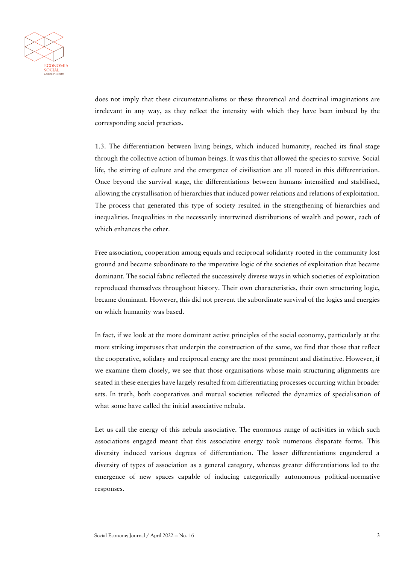

does not imply that these circumstantialisms or these theoretical and doctrinal imaginations are irrelevant in any way, as they reflect the intensity with which they have been imbued by the corresponding social practices.

1.3. The differentiation between living beings, which induced humanity, reached its final stage through the collective action of human beings. It was this that allowed the species to survive. Social life, the stirring of culture and the emergence of civilisation are all rooted in this differentiation. Once beyond the survival stage, the differentiations between humans intensified and stabilised, allowing the crystallisation of hierarchies that induced power relations and relations of exploitation. The process that generated this type of society resulted in the strengthening of hierarchies and inequalities. Inequalities in the necessarily intertwined distributions of wealth and power, each of which enhances the other.

Free association, cooperation among equals and reciprocal solidarity rooted in the community lost ground and became subordinate to the imperative logic of the societies of exploitation that became dominant. The social fabric reflected the successively diverse ways in which societies of exploitation reproduced themselves throughout history. Their own characteristics, their own structuring logic, became dominant. However, this did not prevent the subordinate survival of the logics and energies on which humanity was based.

In fact, if we look at the more dominant active principles of the social economy, particularly at the more striking impetuses that underpin the construction of the same, we find that those that reflect the cooperative, solidary and reciprocal energy are the most prominent and distinctive. However, if we examine them closely, we see that those organisations whose main structuring alignments are seated in these energies have largely resulted from differentiating processes occurring within broader sets. In truth, both cooperatives and mutual societies reflected the dynamics of specialisation of what some have called the initial associative nebula.

Let us call the energy of this nebula associative. The enormous range of activities in which such associations engaged meant that this associative energy took numerous disparate forms. This diversity induced various degrees of differentiation. The lesser differentiations engendered a diversity of types of association as a general category, whereas greater differentiations led to the emergence of new spaces capable of inducing categorically autonomous political-normative responses.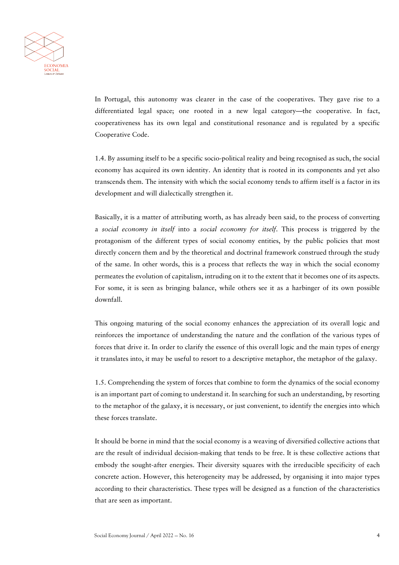

In Portugal, this autonomy was clearer in the case of the cooperatives. They gave rise to a differentiated legal space; one rooted in a new legal category—the cooperative. In fact, cooperativeness has its own legal and constitutional resonance and is regulated by a specific Cooperative Code.

1.4. By assuming itself to be a specific socio-political reality and being recognised as such, the social economy has acquired its own identity. An identity that is rooted in its components and yet also transcends them. The intensity with which the social economy tends to affirm itself is a factor in its development and will dialectically strengthen it.

Basically, it is a matter of attributing worth, as has already been said, to the process of converting a *social economy in itself* into a *social economy for itself*. This process is triggered by the protagonism of the different types of social economy entities, by the public policies that most directly concern them and by the theoretical and doctrinal framework construed through the study of the same. In other words, this is a process that reflects the way in which the social economy permeates the evolution of capitalism, intruding on it to the extent that it becomes one of its aspects. For some, it is seen as bringing balance, while others see it as a harbinger of its own possible downfall.

This ongoing maturing of the social economy enhances the appreciation of its overall logic and reinforces the importance of understanding the nature and the conflation of the various types of forces that drive it. In order to clarify the essence of this overall logic and the main types of energy it translates into, it may be useful to resort to a descriptive metaphor, the metaphor of the galaxy.

1.5. Comprehending the system of forces that combine to form the dynamics of the social economy is an important part of coming to understand it. In searching for such an understanding, by resorting to the metaphor of the galaxy, it is necessary, or just convenient, to identify the energies into which these forces translate.

It should be borne in mind that the social economy is a weaving of diversified collective actions that are the result of individual decision-making that tends to be free. It is these collective actions that embody the sought-after energies. Their diversity squares with the irreducible specificity of each concrete action. However, this heterogeneity may be addressed, by organising it into major types according to their characteristics. These types will be designed as a function of the characteristics that are seen as important.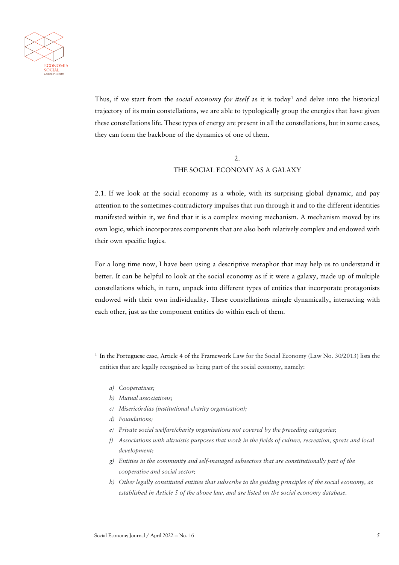

Thus, if we start from the *social economy for itself* as it is today<sup>[1](#page-4-0)</sup> and delve into the historical trajectory of its main constellations, we are able to typologically group the energies that have given these constellations life. These types of energy are present in all the constellations, but in some cases, they can form the backbone of the dynamics of one of them.

#### 2. THE SOCIAL ECONOMY AS A GALAXY

2.1. If we look at the social economy as a whole, with its surprising global dynamic, and pay attention to the sometimes-contradictory impulses that run through it and to the different identities manifested within it, we find that it is a complex moving mechanism. A mechanism moved by its own logic, which incorporates components that are also both relatively complex and endowed with their own specific logics.

For a long time now, I have been using a descriptive metaphor that may help us to understand it better. It can be helpful to look at the social economy as if it were a galaxy, made up of multiple constellations which, in turn, unpack into different types of entities that incorporate protagonists endowed with their own individuality. These constellations mingle dynamically, interacting with each other, just as the component entities do within each of them.

- *c) Misericórdias (institutional charity organisation);*
- *d) Foundations;*
- *e) Private social welfare/charity organisations not covered by the preceding categories;*
- *f) Associations with altruistic purposes that work in the fields of culture, recreation, sports and local development;*
- *g) Entities in the community and self-managed subsectors that are constitutionally part of the cooperative and social sector;*
- *h) Other legally constituted entities that subscribe to the guiding principles of the social economy, as established in Article 5 of the above law, and are listed on the social economy database.*

<span id="page-4-0"></span><sup>1</sup> In the Portuguese case, Article 4 of the Framework Law for the Social Economy (Law No. 30/2013) lists the entities that are legally recognised as being part of the social economy, namely:

*a) Cooperatives;*

*b) Mutual associations;*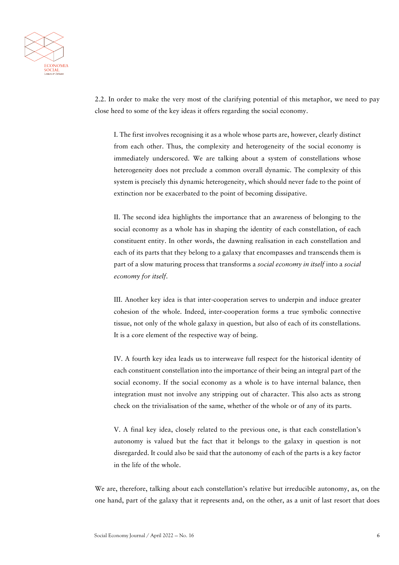

2.2. In order to make the very most of the clarifying potential of this metaphor, we need to pay close heed to some of the key ideas it offers regarding the social economy.

I. The first involves recognising it as a whole whose parts are, however, clearly distinct from each other. Thus, the complexity and heterogeneity of the social economy is immediately underscored. We are talking about a system of constellations whose heterogeneity does not preclude a common overall dynamic. The complexity of this system is precisely this dynamic heterogeneity, which should never fade to the point of extinction nor be exacerbated to the point of becoming dissipative.

II. The second idea highlights the importance that an awareness of belonging to the social economy as a whole has in shaping the identity of each constellation, of each constituent entity. In other words, the dawning realisation in each constellation and each of its parts that they belong to a galaxy that encompasses and transcends them is part of a slow maturing process that transforms a *social economy in itself* into a *social economy for itself*.

III. Another key idea is that inter-cooperation serves to underpin and induce greater cohesion of the whole. Indeed, inter-cooperation forms a true symbolic connective tissue, not only of the whole galaxy in question, but also of each of its constellations. It is a core element of the respective way of being.

IV. A fourth key idea leads us to interweave full respect for the historical identity of each constituent constellation into the importance of their being an integral part of the social economy. If the social economy as a whole is to have internal balance, then integration must not involve any stripping out of character. This also acts as strong check on the trivialisation of the same, whether of the whole or of any of its parts.

V. A final key idea, closely related to the previous one, is that each constellation's autonomy is valued but the fact that it belongs to the galaxy in question is not disregarded. It could also be said that the autonomy of each of the parts is a key factor in the life of the whole.

We are, therefore, talking about each constellation's relative but irreducible autonomy, as, on the one hand, part of the galaxy that it represents and, on the other, as a unit of last resort that does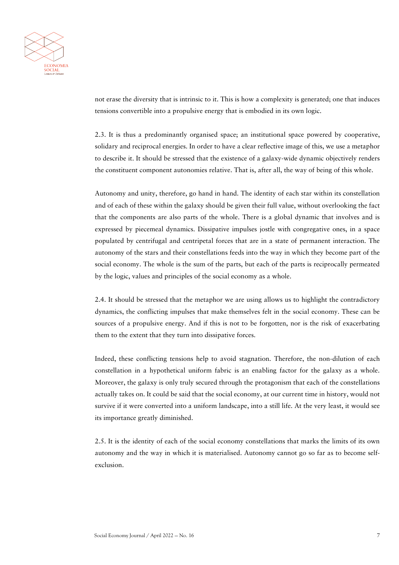

not erase the diversity that is intrinsic to it. This is how a complexity is generated; one that induces tensions convertible into a propulsive energy that is embodied in its own logic.

2.3. It is thus a predominantly organised space; an institutional space powered by cooperative, solidary and reciprocal energies. In order to have a clear reflective image of this, we use a metaphor to describe it. It should be stressed that the existence of a galaxy-wide dynamic objectively renders the constituent component autonomies relative. That is, after all, the way of being of this whole.

Autonomy and unity, therefore, go hand in hand. The identity of each star within its constellation and of each of these within the galaxy should be given their full value, without overlooking the fact that the components are also parts of the whole. There is a global dynamic that involves and is expressed by piecemeal dynamics. Dissipative impulses jostle with congregative ones, in a space populated by centrifugal and centripetal forces that are in a state of permanent interaction. The autonomy of the stars and their constellations feeds into the way in which they become part of the social economy. The whole is the sum of the parts, but each of the parts is reciprocally permeated by the logic, values and principles of the social economy as a whole.

2.4. It should be stressed that the metaphor we are using allows us to highlight the contradictory dynamics, the conflicting impulses that make themselves felt in the social economy. These can be sources of a propulsive energy. And if this is not to be forgotten, nor is the risk of exacerbating them to the extent that they turn into dissipative forces.

Indeed, these conflicting tensions help to avoid stagnation. Therefore, the non-dilution of each constellation in a hypothetical uniform fabric is an enabling factor for the galaxy as a whole. Moreover, the galaxy is only truly secured through the protagonism that each of the constellations actually takes on. It could be said that the social economy, at our current time in history, would not survive if it were converted into a uniform landscape, into a still life. At the very least, it would see its importance greatly diminished.

2.5. It is the identity of each of the social economy constellations that marks the limits of its own autonomy and the way in which it is materialised. Autonomy cannot go so far as to become selfexclusion.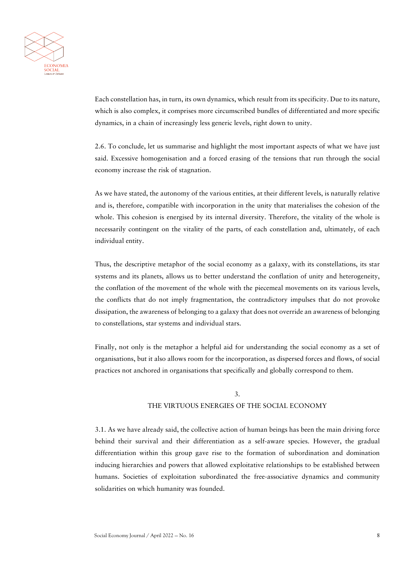

Each constellation has, in turn, its own dynamics, which result from its specificity. Due to its nature, which is also complex, it comprises more circumscribed bundles of differentiated and more specific dynamics, in a chain of increasingly less generic levels, right down to unity.

2.6. To conclude, let us summarise and highlight the most important aspects of what we have just said. Excessive homogenisation and a forced erasing of the tensions that run through the social economy increase the risk of stagnation.

As we have stated, the autonomy of the various entities, at their different levels, is naturally relative and is, therefore, compatible with incorporation in the unity that materialises the cohesion of the whole. This cohesion is energised by its internal diversity. Therefore, the vitality of the whole is necessarily contingent on the vitality of the parts, of each constellation and, ultimately, of each individual entity.

Thus, the descriptive metaphor of the social economy as a galaxy, with its constellations, its star systems and its planets, allows us to better understand the conflation of unity and heterogeneity, the conflation of the movement of the whole with the piecemeal movements on its various levels, the conflicts that do not imply fragmentation, the contradictory impulses that do not provoke dissipation, the awareness of belonging to a galaxy that does not override an awareness of belonging to constellations, star systems and individual stars.

Finally, not only is the metaphor a helpful aid for understanding the social economy as a set of organisations, but it also allows room for the incorporation, as dispersed forces and flows, of social practices not anchored in organisations that specifically and globally correspond to them.

#### 3. THE VIRTUOUS ENERGIES OF THE SOCIAL ECONOMY

3.1. As we have already said, the collective action of human beings has been the main driving force behind their survival and their differentiation as a self-aware species. However, the gradual differentiation within this group gave rise to the formation of subordination and domination inducing hierarchies and powers that allowed exploitative relationships to be established between humans. Societies of exploitation subordinated the free-associative dynamics and community solidarities on which humanity was founded.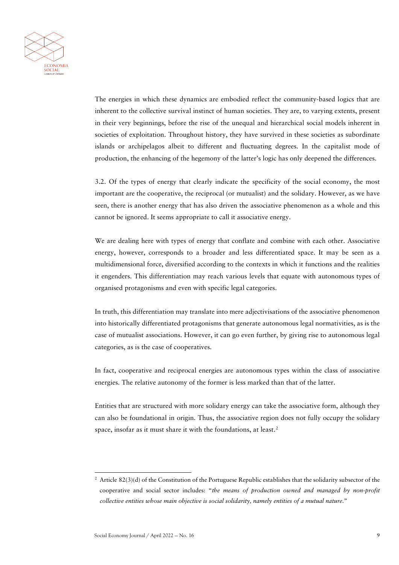

The energies in which these dynamics are embodied reflect the community-based logics that are inherent to the collective survival instinct of human societies. They are, to varying extents, present in their very beginnings, before the rise of the unequal and hierarchical social models inherent in societies of exploitation. Throughout history, they have survived in these societies as subordinate islands or archipelagos albeit to different and fluctuating degrees. In the capitalist mode of production, the enhancing of the hegemony of the latter's logic has only deepened the differences.

3.2. Of the types of energy that clearly indicate the specificity of the social economy, the most important are the cooperative, the reciprocal (or mutualist) and the solidary. However, as we have seen, there is another energy that has also driven the associative phenomenon as a whole and this cannot be ignored. It seems appropriate to call it associative energy.

We are dealing here with types of energy that conflate and combine with each other. Associative energy, however, corresponds to a broader and less differentiated space. It may be seen as a multidimensional force, diversified according to the contexts in which it functions and the realities it engenders. This differentiation may reach various levels that equate with autonomous types of organised protagonisms and even with specific legal categories.

In truth, this differentiation may translate into mere adjectivisations of the associative phenomenon into historically differentiated protagonisms that generate autonomous legal normativities, as is the case of mutualist associations. However, it can go even further, by giving rise to autonomous legal categories, as is the case of cooperatives.

In fact, cooperative and reciprocal energies are autonomous types within the class of associative energies. The relative autonomy of the former is less marked than that of the latter.

Entities that are structured with more solidary energy can take the associative form, although they can also be foundational in origin. Thus, the associative region does not fully occupy the solidary space, insofar as it must share it with the foundations, at least.<sup>[2](#page-8-0)</sup>

<span id="page-8-0"></span> $2$  Article 82(3)(d) of the Constitution of the Portuguese Republic establishes that the solidarity subsector of the cooperative and social sector includes: "*the means of production owned and managed by non-profit collective entities whose main objective is social solidarity, namely entities of a mutual nature*."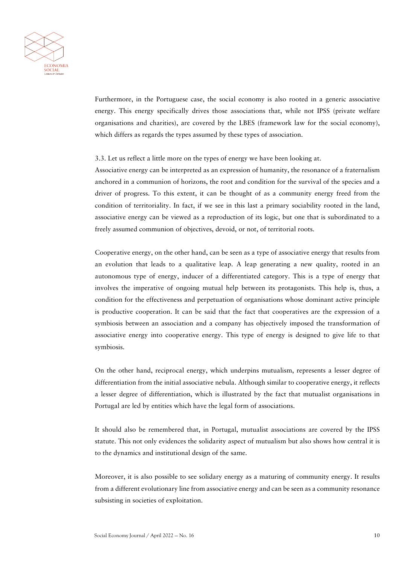

Furthermore, in the Portuguese case, the social economy is also rooted in a generic associative energy. This energy specifically drives those associations that, while not IPSS (private welfare organisations and charities), are covered by the LBES (framework law for the social economy), which differs as regards the types assumed by these types of association.

3.3. Let us reflect a little more on the types of energy we have been looking at.

Associative energy can be interpreted as an expression of humanity, the resonance of a fraternalism anchored in a communion of horizons, the root and condition for the survival of the species and a driver of progress. To this extent, it can be thought of as a community energy freed from the condition of territoriality. In fact, if we see in this last a primary sociability rooted in the land, associative energy can be viewed as a reproduction of its logic, but one that is subordinated to a freely assumed communion of objectives, devoid, or not, of territorial roots.

Cooperative energy, on the other hand, can be seen as a type of associative energy that results from an evolution that leads to a qualitative leap. A leap generating a new quality, rooted in an autonomous type of energy, inducer of a differentiated category. This is a type of energy that involves the imperative of ongoing mutual help between its protagonists. This help is, thus, a condition for the effectiveness and perpetuation of organisations whose dominant active principle is productive cooperation. It can be said that the fact that cooperatives are the expression of a symbiosis between an association and a company has objectively imposed the transformation of associative energy into cooperative energy. This type of energy is designed to give life to that symbiosis.

On the other hand, reciprocal energy, which underpins mutualism, represents a lesser degree of differentiation from the initial associative nebula. Although similar to cooperative energy, it reflects a lesser degree of differentiation, which is illustrated by the fact that mutualist organisations in Portugal are led by entities which have the legal form of associations.

It should also be remembered that, in Portugal, mutualist associations are covered by the IPSS statute. This not only evidences the solidarity aspect of mutualism but also shows how central it is to the dynamics and institutional design of the same.

Moreover, it is also possible to see solidary energy as a maturing of community energy. It results from a different evolutionary line from associative energy and can be seen as a community resonance subsisting in societies of exploitation.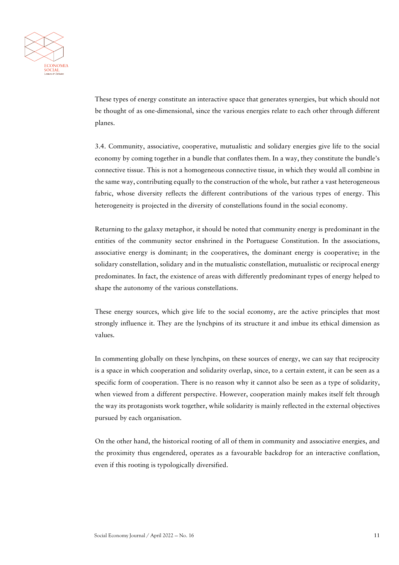

These types of energy constitute an interactive space that generates synergies, but which should not be thought of as one-dimensional, since the various energies relate to each other through different planes.

3.4. Community, associative, cooperative, mutualistic and solidary energies give life to the social economy by coming together in a bundle that conflates them. In a way, they constitute the bundle's connective tissue. This is not a homogeneous connective tissue, in which they would all combine in the same way, contributing equally to the construction of the whole, but rather a vast heterogeneous fabric, whose diversity reflects the different contributions of the various types of energy. This heterogeneity is projected in the diversity of constellations found in the social economy.

Returning to the galaxy metaphor, it should be noted that community energy is predominant in the entities of the community sector enshrined in the Portuguese Constitution. In the associations, associative energy is dominant; in the cooperatives, the dominant energy is cooperative; in the solidary constellation, solidary and in the mutualistic constellation, mutualistic or reciprocal energy predominates. In fact, the existence of areas with differently predominant types of energy helped to shape the autonomy of the various constellations.

These energy sources, which give life to the social economy, are the active principles that most strongly influence it. They are the lynchpins of its structure it and imbue its ethical dimension as values.

In commenting globally on these lynchpins, on these sources of energy, we can say that reciprocity is a space in which cooperation and solidarity overlap, since, to a certain extent, it can be seen as a specific form of cooperation. There is no reason why it cannot also be seen as a type of solidarity, when viewed from a different perspective. However, cooperation mainly makes itself felt through the way its protagonists work together, while solidarity is mainly reflected in the external objectives pursued by each organisation.

On the other hand, the historical rooting of all of them in community and associative energies, and the proximity thus engendered, operates as a favourable backdrop for an interactive conflation, even if this rooting is typologically diversified.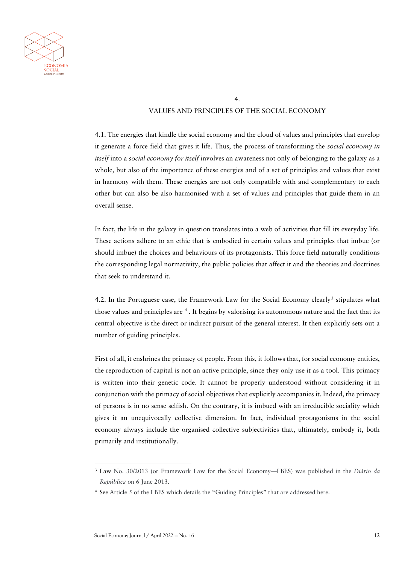

#### 4.

#### VALUES AND PRINCIPLES OF THE SOCIAL ECONOMY

4.1. The energies that kindle the social economy and the cloud of values and principles that envelop it generate a force field that gives it life. Thus, the process of transforming the *social economy in itself* into a *social economy for itself* involves an awareness not only of belonging to the galaxy as a whole, but also of the importance of these energies and of a set of principles and values that exist in harmony with them. These energies are not only compatible with and complementary to each other but can also be also harmonised with a set of values and principles that guide them in an overall sense.

In fact, the life in the galaxy in question translates into a web of activities that fill its everyday life. These actions adhere to an ethic that is embodied in certain values and principles that imbue (or should imbue) the choices and behaviours of its protagonists. This force field naturally conditions the corresponding legal normativity, the public policies that affect it and the theories and doctrines that seek to understand it.

4.2. In the Portuguese case, the Framework Law for the Social Economy clearly<sup>[3](#page-11-0)</sup> stipulates what those values and principles are <sup>[4](#page-11-1)</sup>. It begins by valorising its autonomous nature and the fact that its central objective is the direct or indirect pursuit of the general interest. It then explicitly sets out a number of guiding principles.

First of all, it enshrines the primacy of people. From this, it follows that, for social economy entities, the reproduction of capital is not an active principle, since they only use it as a tool. This primacy is written into their genetic code. It cannot be properly understood without considering it in conjunction with the primacy of social objectives that explicitly accompanies it. Indeed, the primacy of persons is in no sense selfish. On the contrary, it is imbued with an irreducible sociality which gives it an unequivocally collective dimension. In fact, individual protagonisms in the social economy always include the organised collective subjectivities that, ultimately, embody it, both primarily and institutionally.

<span id="page-11-0"></span><sup>3</sup> Law No. 30/2013 (or Framework Law for the Social Economy—LBES) was published in the *Diário da República* on 6 June 2013.

<span id="page-11-1"></span><sup>4</sup> See Article 5 of the LBES which details the "Guiding Principles" that are addressed here.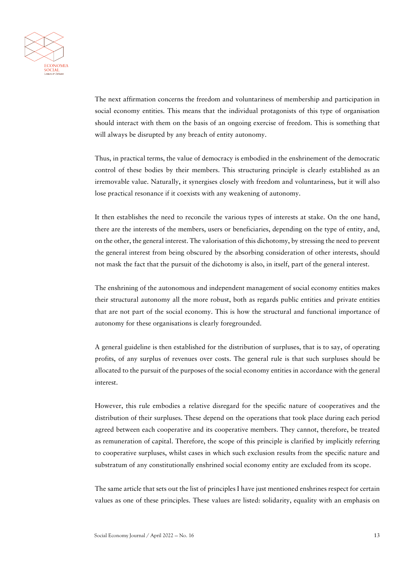

The next affirmation concerns the freedom and voluntariness of membership and participation in social economy entities. This means that the individual protagonists of this type of organisation should interact with them on the basis of an ongoing exercise of freedom. This is something that will always be disrupted by any breach of entity autonomy.

Thus, in practical terms, the value of democracy is embodied in the enshrinement of the democratic control of these bodies by their members. This structuring principle is clearly established as an irremovable value. Naturally, it synergises closely with freedom and voluntariness, but it will also lose practical resonance if it coexists with any weakening of autonomy.

It then establishes the need to reconcile the various types of interests at stake. On the one hand, there are the interests of the members, users or beneficiaries, depending on the type of entity, and, on the other, the general interest. The valorisation of this dichotomy, by stressing the need to prevent the general interest from being obscured by the absorbing consideration of other interests, should not mask the fact that the pursuit of the dichotomy is also, in itself, part of the general interest.

The enshrining of the autonomous and independent management of social economy entities makes their structural autonomy all the more robust, both as regards public entities and private entities that are not part of the social economy. This is how the structural and functional importance of autonomy for these organisations is clearly foregrounded.

A general guideline is then established for the distribution of surpluses, that is to say, of operating profits, of any surplus of revenues over costs. The general rule is that such surpluses should be allocated to the pursuit of the purposes of the social economy entities in accordance with the general interest.

However, this rule embodies a relative disregard for the specific nature of cooperatives and the distribution of their surpluses. These depend on the operations that took place during each period agreed between each cooperative and its cooperative members. They cannot, therefore, be treated as remuneration of capital. Therefore, the scope of this principle is clarified by implicitly referring to cooperative surpluses, whilst cases in which such exclusion results from the specific nature and substratum of any constitutionally enshrined social economy entity are excluded from its scope.

The same article that sets out the list of principles I have just mentioned enshrines respect for certain values as one of these principles. These values are listed: solidarity, equality with an emphasis on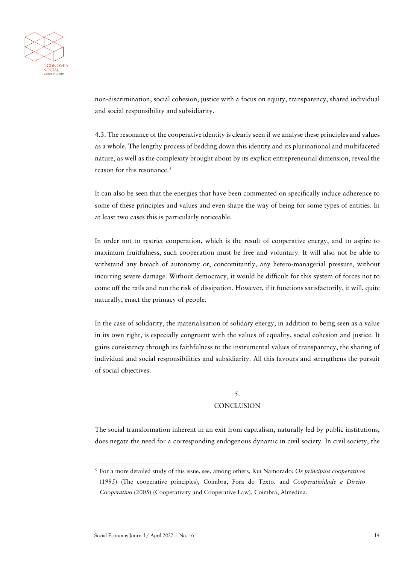

non-discrimination, social cohesion, justice with a focus on equity, transparency, shared individual and social responsibility and subsidiarity.

4.3. The resonance of the cooperative identity is clearly seen if we analyse these principles and values as a whole. The lengthy process of bedding down this identity and its plurinational and multifaceted nature, as well as the complexity brought about by its explicit entrepreneurial dimension, reveal the reason for this resonance.<sup>[5](#page-13-0)</sup>

It can also be seen that the energies that have been commented on specifically induce adherence to some of these principles and values and even shape the way of being for some types of entities. In at least two cases this is particularly noticeable.

In order not to restrict cooperation, which is the result of cooperative energy, and to aspire to maximum fruitfulness, such cooperation must be free and voluntary. It will also not be able to withstand any breach of autonomy or, concomitantly, any hetero-managerial pressure, without incurring severe damage. Without democracy, it would be difficult for this system of forces not to come off the rails and run the risk of dissipation. However, if it functions satisfactorily, it will, quite naturally, enact the primacy of people.

In the case of solidarity, the materialisation of solidary energy, in addition to being seen as a value in its own right, is especially congruent with the values of equality, social cohesion and justice. It gains consistency through its faithfulness to the instrumental values of transparency, the sharing of individual and social responsibilities and subsidiarity. All this favours and strengthens the pursuit of social objectives.

## 5. **CONCLUSION**

The social transformation inherent in an exit from capitalism, naturally led by public institutions, does negate the need for a corresponding endogenous dynamic in civil society. In civil society, the

<span id="page-13-0"></span><sup>5</sup> For a more detailed study of this issue, see, among others, Rui Namorado: *Os princípios cooperativos*  (1995) (The cooperative principles), Coimbra, Fora do Texto. and *Cooperatividade e Direito Cooperativo* (2005) (Cooperativity and Cooperative Law), Coimbra, Almedina.